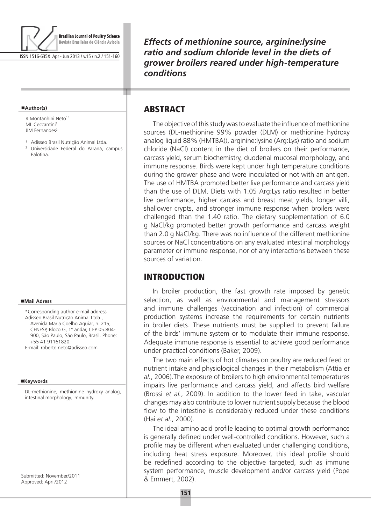

ISSN 1516-635X Apr - Jun 2013 / v.15 / n.2 / 151-160

#### **Author(s)**

R Montanhini Neto<sup>1\*</sup> ML Ceccantini<sup>1</sup> JIM Fernandes<sup>2</sup>

- <sup>1</sup> Adisseo Brasil Nutrição Animal Ltda.
- <sup>2</sup> Universidade Federal do Paraná, campus Palotina.

### **Mail Adress**

\*Corresponding author e-mail address Adisseo Brasil Nutrição Animal Ltda., Avenida Maria Coelho Aguiar, n. 215, CENESP, Bloco G, 1º andar, CEP 05.804- 900, São Paulo, São Paulo, Brasil. Phone: +55 41 91161820. E-mail: roberto.neto@adisseo.com

#### **Keywords**

DL-methionine, methionine hydroxy analog, intestinal morphology, immunity.

Submitted: November/2011 Approved: April/2012

*Effects of methionine source, arginine:lysine ratio and sodium chloride level in the diets of grower broilers reared under high-temperature conditions*

# **ABSTRACT**

т

The objective of this study was to evaluate the influence of methionine sources (DL-methionine 99% powder (DLM) or methionine hydroxy analog liquid 88% (HMTBA)), arginine:lysine (Arg:Lys) ratio and sodium chloride (NaCl) content in the diet of broilers on their performance, carcass yield, serum biochemistry, duodenal mucosal morphology, and immune response. Birds were kept under high temperature conditions during the grower phase and were inoculated or not with an antigen. The use of HMTBA promoted better live performance and carcass yield than the use of DLM. Diets with 1.05 Arg:Lys ratio resulted in better live performance, higher carcass and breast meat yields, longer villi, shallower crypts, and stronger immune response when broilers were challenged than the 1.40 ratio. The dietary supplementation of 6.0 g NaCl/kg promoted better growth performance and carcass weight than 2.0 g NaCl/kg. There was no influence of the different methionine sources or NaCl concentrations on any evaluated intestinal morphology parameter or immune response, nor of any interactions between these sources of variation.

# INTRODUCTION

In broiler production, the fast growth rate imposed by genetic selection, as well as environmental and management stressors and immune challenges (vaccination and infection) of commercial production systems increase the requirements for certain nutrients in broiler diets. These nutrients must be supplied to prevent failure of the birds' immune system or to modulate their immune response. Adequate immune response is essential to achieve good performance under practical conditions (Baker, 2009).

The two main effects of hot climates on poultry are reduced feed or nutrient intake and physiological changes in their metabolism (Attia *et al.*, 2006).The exposure of broilers to high environmental temperatures impairs live performance and carcass yield, and affects bird welfare (Brossi *et al.*, 2009). In addition to the lower feed in take, vascular changes may also contribute to lower nutrient supply because the blood flow to the intestine is considerably reduced under these conditions (Hai *et al.*, 2000).

The ideal amino acid profile leading to optimal growth performance is generally defined under well-controlled conditions. However, such a profile may be different when evaluated under challenging conditions, including heat stress exposure. Moreover, this ideal profile should be redefined according to the objective targeted, such as immune system performance, muscle development and/or carcass yield (Pope & Emmert, 2002).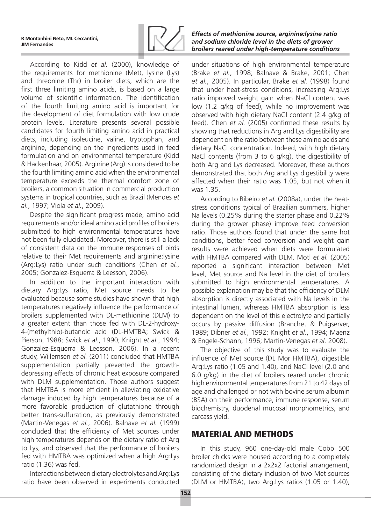

According to Kidd *et al.* (2000), knowledge of the requirements for methionine (Met), lysine (Lys) and threonine (Thr) in broiler diets, which are the first three limiting amino acids, is based on a large volume of scientific information. The identification of the fourth limiting amino acid is important for the development of diet formulation with low crude protein levels. Literature presents several possible candidates for fourth limiting amino acid in practical diets, including isoleucine, valine, tryptophan, and arginine, depending on the ingredients used in feed formulation and on environmental temperature (Kidd & Hackenhaar, 2005). Arginine (Arg) is considered to be the fourth limiting amino acid when the environmental temperature exceeds the thermal comfort zone of broilers, a common situation in commercial production systems in tropical countries, such as Brazil (Mendes *et al.*, 1997; Viola *et al.*, 2009).

Despite the significant progress made, amino acid requirements and/or ideal amino acid profiles of broilers submitted to high environmental temperatures have not been fully elucidated. Moreover, there is still a lack of consistent data on the immune responses of birds relative to their Met requirements and arginine:lysine (Arg:Lys) ratio under such conditions (Chen *et al.*, 2005; Gonzalez-Esquerra & Leesson, 2006).

In addition to the important interaction with dietary Arg:Lys ratio, Met source needs to be evaluated because some studies have shown that high temperatures negatively influence the performance of broilers supplemented with DL-methionine (DLM) to a greater extent than those fed with DL-2-hydroxy-4-(methylthio)-butanoic acid (DL-HMTBA; Swick & Pierson, 1988; Swick *et al.*, 1990; Knight *et al.*, 1994; Gonzalez-Esquerra & Leesson, 2006). In a recent study, Willemsen *et al.* (2011) concluded that HMTBA supplementation partially prevented the growthdepressing effects of chronic heat exposure compared with DLM supplementation. Those authors suggest that HMTBA is more efficient in alleviating oxidative damage induced by high temperatures because of a more favorable production of glutathione through better trans-sulfuration, as previously demonstrated (Martin-Venegas *et al.*, 2006). Balnave *et al.* (1999) concluded that the efficiency of Met sources under high temperatures depends on the dietary ratio of Arg to Lys, and observed that the performance of broilers fed with HMTBA was optimized when a high Arg:Lys ratio (1.36) was fed.

Interactions between dietary electrolytes and Arg:Lys ratio have been observed in experiments conducted

### *Effects of methionine source, arginine:lysine ratio and sodium chloride level in the diets of grower broilers reared under high-temperature conditions*

under situations of high environmental temperature (Brake *et al.*, 1998; Balnave & Brake, 2001; Chen *et al.*, 2005). In particular, Brake *et al.* (1998) found that under heat-stress conditions, increasing Arg:Lys ratio improved weight gain when NaCl content was low (1.2 g/kg of feed), while no improvement was observed with high dietary NaCl content (2.4 g/kg of feed). Chen *et al.* (2005) confirmed these results by showing that reductions in Arg and Lys digestibility are dependent on the ratio between these amino acids and dietary NaCl concentration. Indeed, with high dietary NaCl contents (from 3 to 6 g/kg), the digestibility of both Arg and Lys decreased. Moreover, these authors demonstrated that both Arg and Lys digestibility were affected when their ratio was 1.05, but not when it was 1.35.

According to Ribeiro *et al.* (2008a), under the heatstress conditions typical of Brazilian summers, higher Na levels (0.25% during the starter phase and 0.22% during the grower phase) improve feed conversion ratio. Those authors found that under the same hot conditions, better feed conversion and weight gain results were achieved when diets were formulated with HMTBA compared with DLM. Motl *et al.* (2005) reported a significant interaction between Met level, Met source and Na level in the diet of broilers submitted to high environmental temperatures. A possible explanation may be that the efficiency of DLM absorption is directly associated with Na levels in the intestinal lumen, whereas HMTBA absorption is less dependent on the level of this electrolyte and partially occurs by passive diffusion (Branchet & Puigserver, 1989; Dibner *et al.*, 1992; Knight *et al.*, 1994; Maenz & Engele-Schann, 1996; Martin-Venegas *et al.* 2008).

The objective of this study was to evaluate the influence of Met source (DL Mor HMTBA), digestible Arg:Lys ratio (1.05 and 1.40), and NaCl level (2.0 and 6.0 g/kg) in the diet of broilers reared under chronic high environmental temperatures from 21 to 42 days of age and challenged or not with bovine serum albumin (BSA) on their performance, immune response, serum biochemistry, duodenal mucosal morphometrics, and carcass yield.

# MATERIAL AND METHODS

In this study, 960 one-day-old male Cobb 500 broiler chicks were housed according to a completely randomized design in a 2x2x2 factorial arrangement, consisting of the dietary inclusion of two Met sources (DLM or HMTBA), two Arg:Lys ratios (1.05 or 1.40),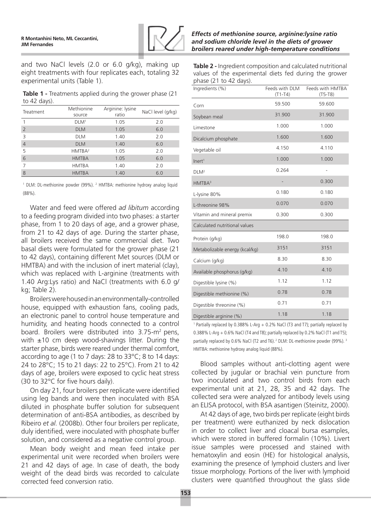

and two NaCl levels (2.0 or 6.0 g/kg), making up eight treatments with four replicates each, totaling 32 experimental units (Table 1).

**Table 1 -** Treatments applied during the grower phase (21 to 42 days).

| Treatment      | Methionine<br>source | Arginine: lysine<br>ratio | NaCl level (g/kg) |
|----------------|----------------------|---------------------------|-------------------|
|                | DLM <sup>1</sup>     | 1.05                      | 2.0               |
| $\overline{2}$ | <b>DLM</b>           | 1.05                      | 6.0               |
| Β              | <b>DLM</b>           | 1.40                      | 2.0               |
| $\overline{4}$ | <b>DLM</b>           | 1.40                      | 6.0               |
| 5              | HMTBA <sup>2</sup>   | 1.05                      | 2.0               |
| 6              | <b>HMTBA</b>         | 1.05                      | 6.0               |
|                | <b>HMTBA</b>         | 1.40                      | 2.0               |
| 8              | <b>HMTBA</b>         | 1.40                      | 6.0               |

<sup>1</sup> DLM: DL-methionine powder (99%). <sup>2</sup> HMTBA: methionine hydroxy analog liquid (88%).

Water and feed were offered *ad libitum* according to a feeding program divided into two phases: a starter phase, from 1 to 20 days of age, and a grower phase, from 21 to 42 days of age. During the starter phase, all broilers received the same commercial diet. Two basal diets were formulated for the grower phase (21 to 42 days), containing different Met sources (DLM or HMTBA) and with the inclusion of inert material (clay), which was replaced with L-arginine (treatments with 1.40 Arg:Lys ratio) and NaCl (treatments with 6.0 g/ kg; Table 2).

Broilers were housed in an environmentally-controlled house, equipped with exhaustion fans, cooling pads, an electronic panel to control house temperature and humidity, and heating hoods connected to a control board. Broilers were distributed into 3.75-m<sup>2</sup> pens, with  $\pm 10$  cm deep wood-shavings litter. During the starter phase, birds were reared under thermal comfort, according to age (1 to 7 days: 28 to 33°C; 8 to 14 days: 24 to 28°C; 15 to 21 days: 22 to 25°C). From 21 to 42 days of age, broilers were exposed to cyclic heat stress (30 to 32°C for five hours daily).

On day 21, four broilers per replicate were identified using leg bands and were then inoculated with BSA diluted in phosphate buffer solution for subsequent determination of anti-BSA antibodies, as described by Ribeiro *et al.* (2008b). Other four broilers per replicate, duly identified, were inoculated with phosphate buffer solution, and considered as a negative control group.

Mean body weight and mean feed intake per experimental unit were recorded when broilers were 21 and 42 days of age. In case of death, the body weight of the dead birds was recorded to calculate corrected feed conversion ratio.

*Effects of methionine source, arginine:lysine ratio and sodium chloride level in the diets of grower broilers reared under high-temperature conditions*

**Table 2 -** Ingredient composition and calculated nutritional values of the experimental diets fed during the grower phase (21 to 42 days).

| Ingredients (%)                | Feeds with DLM<br>$(T1-T4)$ | Feeds with HMTBA<br>$(T5-T8)$ |
|--------------------------------|-----------------------------|-------------------------------|
| Corn                           | 59.500                      | 59.600                        |
| Soybean meal                   | 31.900                      | 31.900                        |
| Limestone                      | 1.000                       | 1.000                         |
| Dicalcium phosphate            | 1.600                       | 1.600                         |
| Vegetable oil                  | 4.150                       | 4.110                         |
| Inert <sup>1</sup>             | 1.000                       | 1.000                         |
| DLM <sup>2</sup>               | 0.264                       |                               |
| HMTBA <sup>3</sup>             |                             | 0.300                         |
| L-lysine 80%                   | 0.180                       | 0.180                         |
| L-threonine 98%                | 0.070                       | 0.070                         |
| Vitamin and mineral premix     | 0.300                       | 0.300                         |
| Calculated nutritional values  |                             |                               |
| Protein (g/kg)                 | 198.0                       | 198.0                         |
| Metabolizable energy (kcal/kg) | 3151                        | 3151                          |
| Calcium (g/kg)                 | 8.30                        | 8.30                          |
| Available phosphorus (g/kg)    | 4.10                        | 4.10                          |
| Digestible lysine (%)          | 1.12                        | 1.12                          |
| Digestible methionine (%)      | 0.78                        | 0.78                          |
| Digestible threonine (%)       | 0.71                        | 0.71                          |
| Digestible arginine (%)        | 1.18                        | 1.18                          |

<sup>1</sup> Partially replaced by 0.388% L-Arg + 0.2% NaCl (T3 and T7); partially replaced by 0.388% L-Arg + 0.6% NaCl (T4 and T8); partially replaced by 0.2% NaCl (T1 and T5); partially replaced by 0.6% NaCl (T2 and T6).<sup>2</sup> DLM: DL-methionine powder (99%).<sup>3</sup> HMTBA: methionine hydroxy analog liquid (88%).

Blood samples without anti-clotting agent were collected by jugular or brachial vein puncture from two inoculated and two control birds from each experimental unit at 21, 28, 35 and 42 days. The collected sera were analyzed for antibody levels using an ELISA protocol, with BSA asantigen (Steinitz, 2000).

At 42 days of age, two birds per replicate (eight birds per treatment) were euthanized by neck dislocation in order to collect liver and cloacal bursa esamples, which were stored in buffered formalin (10%). Livert issue samples were processed and stained with hematoxylin and eosin (HE) for histological analysis, examining the presence of lymphoid clusters and liver tissue morphology. Portions of the liver with lymphoid clusters were quantified throughout the glass slide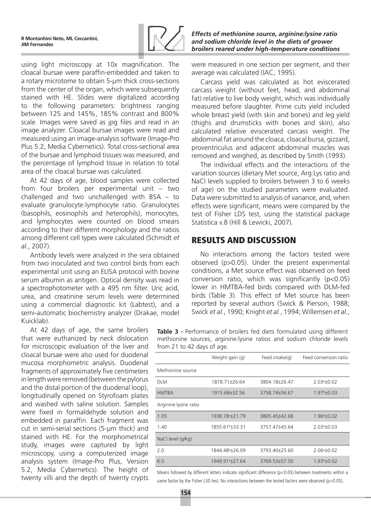

using light microscopy at 10x magnification. The cloacal bursae were paraffin-embedded and taken to a rotary microtome to obtain 5-µm thick cross-sections from the center of the organ, which were subsequently stained with HE. Slides were digitalized according to the following parameters: brightness ranging between 125 and 145%, 185% contrast and 800% scale. Images were saved as jpg files and read in an image analyzer. Cloacal bursae images were read and measured using an image-analysis software (Image-Pro Plus 5.2, Media Cybernetics). Total cross-sectional area of the bursae and lymphoid tissues was measured, and the percentage of lymphoid tissue in relation to total area of the cloacal bursae was calculated.

At 42 days of age, blood samples were collected from four broilers per experimental unit – two challenged and two unchallenged with BSA – to evaluate granulocyte:lymphocyte ratio. Granulocytes (basophils, eosinophils and heterophils), monocytes, and lymphocytes were counted on blood smears according to their different morphology and the ratios among different cell types were calculated (Schmidt *et al.*, 2007).

Antibody levels were analyzed in the sera obtained from two inoculated and two control birds from each experimental unit using an ELISA protocol with bovine serum albumin as antigen. Optical density was read in a spectrophotometer with a 495 nm filter. Uric acid, urea, and creatinine serum levels were determined using a commercial diagnostic kit (Labtest), and a semi-automatic biochemistry analyzer (Drakae, model Kuicklab).

At 42 days of age, the same broilers that were euthanized by neck dislocation for microscopic evaluation of the liver and cloacal bursae were also used for duodenal mucosa morphometric analysis. Duodenal fragments of approximately five centimeters in length were removed (between the pylorus and the distal portion of the duodenal loop), longitudinally opened on Styrofoam plates and washed with saline solution. Samples were fixed in formaldehyde solution and embedded in paraffin. Each fragment was cut in semi-serial sections (5-μm thick) and stained with HE. For the morphometrical study, images were captured by light microscopy, using a computerized image analysis system (Image-Pro Plus, Version 5.2, Media Cybernetics). The height of twenty villi and the depth of twenty crypts

*Effects of methionine source, arginine:lysine ratio and sodium chloride level in the diets of grower broilers reared under high-temperature conditions*

were measured in one section per segment, and their average was calculated (IAC, 1995).

Carcass yield was calculated as hot eviscerated carcass weight (without feet, head, and abdominal fat) relative to live body weight, which was individually measured before slaughter. Prime cuts yield included whole breast yield (with skin and bones) and leg yield (thighs and drumsticks with bones and skin), also calculated relative eviscerated carcass weight. The abdominal fat around the cloaca, cloacal bursa, gizzard, proventriculus and adjacent abdominal muscles was removed and weighed, as described by Smith (1993).

The individual effects and the interactions of the variation sources (dietary Met source, Arg:Lys ratio and NaCl levels supplied to broilers between 3 to 6 weeks of age) on the studied parameters were evaluated. Data were submitted to analysis of variance, and, when effects were significant, means were compared by the test of Fisher LDS test, using the statistical package Statistica v.8 (Hill & Lewicki, 2007).

# RESULTS AND DISCUSSION

No interactions among the factors tested were observed (p>0.05). Under the present experimental conditions, a Met source effect was observed on feed conversion ratio, which was significantly (p<0.05) lower in HMTBA-fed birds compared with DLM-fed birds (Table 3). This effect of Met source has been reported by several authors (Swick & Pierson, 1988; Swick *et al.*, 1990; Knight *et al.*, 1994; Willemsen *et al.*,

**Table 3 -** Performance of broilers fed diets formulated using different methionine sources, arginine:lysine ratios and sodium chloride levels from 21 to 42 days of age.

|                        | Weight gain (g)              | Feed intake $(q)$ | Feed conversion ratio   |
|------------------------|------------------------------|-------------------|-------------------------|
| Methionine source      |                              |                   |                         |
| <b>DLM</b>             | 1878.71±26.64                | 3804.18±26.47     | $2.03a + 0.02$          |
| <b>HMTBA</b>           | 1915.68 ± 32.56              | 3758.74±56.67     | $1.97b\pm0.03$          |
| Arginine: lysine ratio |                              |                   |                         |
| 1.05                   | 1938.78 <sup>a</sup> ±21.79  | 3805.45 ±42.68    | $1.96^{\rm b}$ + 0.02   |
| 1.40                   | 1855.61 <sup>b</sup> ±33.31  | 3757.47+45.64     | $2.03a + 0.03$          |
| NaCl level (g/kg)      |                              |                   |                         |
| 2.0                    | 1844.48 <sup>b</sup> ±26.09  | 3793.40±25.60     | 2.06 <sup>a</sup> ±0.02 |
| 6.0                    | 1949.91 <sup>a</sup> + 27.64 | 3769.53±57.50     | $1.93b\pm 0.02$         |

Means followed by different letters indicate significant difference (p<0.05) between treatments within a same factor by the Fisher LSD test. No interactions between the tested factors were observed (p>0.05).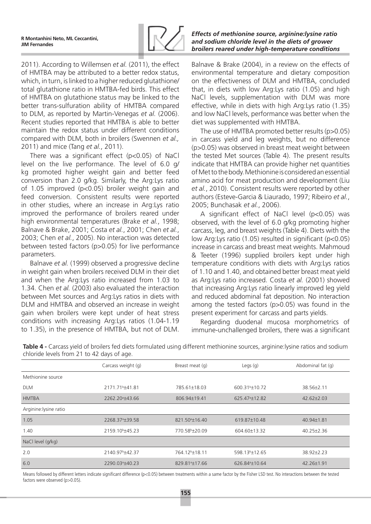

2011). According to Willemsen *et al.* (2011), the effect of HMTBA may be attributed to a better redox status, which, in turn, is linked to a higher reduced glutathione/ total glutathione ratio in HMTBA-fed birds. This effect of HMTBA on glutathione status may be linked to the better trans-sulfuration ability of HMTBA compared to DLM, as reported by Martin-Venegas *et al.* (2006). Recent studies reported that HMTBA is able to better maintain the redox status under different conditions compared with DLM, both in broilers (Swennen *et al.,* 2011) and mice (Tang *et al.*, 2011).

There was a significant effect (p<0.05) of NaCl level on the live performance. The level of 6.0 g/ kg promoted higher weight gain and better feed conversion than 2.0 g/kg. Similarly, the Arg:Lys ratio of 1.05 improved (p<0.05) broiler weight gain and feed conversion. Consistent results were reported in other studies, where an increase in Arg:Lys ratio improved the performance of broilers reared under high environmental temperatures (Brake *et al.*, 1998; Balnave & Brake, 2001; Costa *et al.*, 2001; Chen *et al.*, 2003; Chen *et al.*, 2005). No interaction was detected between tested factors (p>0.05) for live performance parameters.

Balnave *et al.* (1999) observed a progressive decline in weight gain when broilers received DLM in their diet and when the Arg:Lys ratio increased from 1.03 to 1.34. Chen *et al.* (2003) also evaluated the interaction between Met sources and Arg:Lys ratios in diets with DLM and HMTBA and observed an increase in weight gain when broilers were kept under of heat stress conditions with increasing Arg:Lys ratios (1.04-1.19 to 1.35), in the presence of HMTBA, but not of DLM.

### *Effects of methionine source, arginine:lysine ratio and sodium chloride level in the diets of grower broilers reared under high-temperature conditions*

Balnave & Brake (2004), in a review on the effects of environmental temperature and dietary composition on the effectiveness of DLM and HMTBA, concluded that, in diets with low Arg:Lys ratio (1.05) and high NaCl levels, supplementation with DLM was more effective, while in diets with high Arg:Lys ratio (1.35) and low NaCl levels, performance was better when the diet was supplemented with HMTBA.

The use of HMTBA promoted better results (p>0.05) in carcass yield and leg weights, but no difference (p>0.05) was observed in breast meat weight between the tested Met sources (Table 4). The present results indicate that HMTBA can provide higher net quantities of Met to the body. Methionine is considered an essential amino acid for meat production and development (Liu *et al.*, 2010). Consistent results were reported by other authors (Esteve-Garcia & Liaurado, 1997; Ribeiro *et al.*, 2005; Bunchasak *et al.*, 2006).

A significant effect of NaCl level (p<0.05) was observed, with the level of 6.0 g/kg promoting higher carcass, leg, and breast weights (Table 4). Diets with the low Arg:Lys ratio (1.05) resulted in significant (p<0.05) increase in carcass and breast meat weights. Mahmoud & Teeter (1996) supplied broilers kept under high temperature conditions with diets with Arg:Lys ratios of 1.10 and 1.40, and obtained better breast meat yield as Arg:Lys ratio increased. Costa *et al.* (2001) showed that increasing Arg:Lys ratio linearly improved leg yield and reduced abdominal fat deposition. No interaction among the tested factors (p>0.05) was found in the present experiment for carcass and parts yields.

Regarding duodenal mucosa morphometrics of immune-unchallenged broilers, there was a significant

|                        | Carcass weight (g)           | Breast meat (g)            | Legs $(q)$                 | Abdominal fat (q) |
|------------------------|------------------------------|----------------------------|----------------------------|-------------------|
| Methionine source      |                              |                            |                            |                   |
| <b>DLM</b>             | 2171.71 <sup>b</sup> ±41.81  | 785.61±18.03               | 600.31 <sup>b</sup> ±10.72 | 38.56±2.11        |
| <b>HMTBA</b>           | 2262.20 <sup>a</sup> + 43.66 | 806.94±19.41               | 625.47 <sup>a</sup> ±12.82 | $42.62 \pm 2.03$  |
| Arginine: lysine ratio |                              |                            |                            |                   |
| 1.05                   | 2268.37 <sup>a</sup> ±39.58  | 821.50 <sup>a</sup> ±16.40 | 619.87±10.48               | 40.94±1.81        |
| 1.40                   | 2159.10 <sup>b</sup> ±45.23  | 770.58 <sup>b</sup> ±20.09 | 604.60±13.32               | $40.25 \pm 2.36$  |
| NaCl level (g/kg)      |                              |                            |                            |                   |
| 2.0                    | 2140.97 <sup>b</sup> +42.37  | 764.12 <sup>b</sup> ±18.11 | 598.13 <sup>b</sup> ±12.65 | 38.92±2.23        |
| 6.0                    | 2290.03 <sup>a</sup> ±40.23  | 829.81 <sup>a</sup> ±17.66 | 626.84 <sup>a</sup> ±10.64 | 42.26±1.91        |

**Table 4 -** Carcass yield of broilers fed diets formulated using different methionine sources, arginine:lysine ratios and sodium chloride levels from 21 to 42 days of age.

Means followed by different letters indicate significant difference (p<0.05) between treatments within a same factor by the Fisher LSD test. No interactions between the tested factors were observed (p>0.05).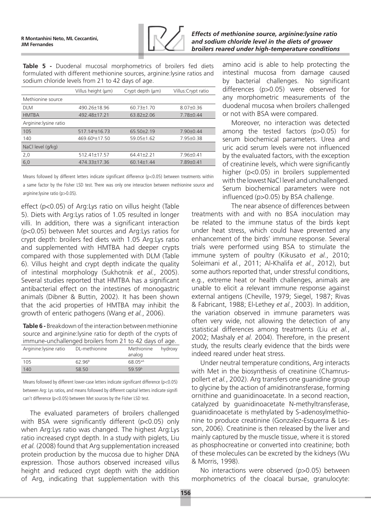

**Table 5 -** Duodenal mucosal morphometrics of broilers fed diets formulated with different methionine sources, arginine:lysine ratios and sodium chloride levels from 21 to 42 days of age.

|                        | Villus height (µm)         | Crypt depth $(\mu m)$ | Villus: Crypt ratio |
|------------------------|----------------------------|-----------------------|---------------------|
| Methionine source      |                            |                       |                     |
| <b>DLM</b>             | 490.26±18.96               | 60.73±1.70            | $8.07 + 0.36$       |
| <b>HMTBA</b>           | 492.48±17.21               | 63.82±2.06            | 7.78±0.44           |
| Arginine: lysine ratio |                            |                       |                     |
| 105                    | 517.14 <sup>a</sup> ±16.73 | $65.50\pm2.19$        | $7.90 \pm 0.44$     |
| 140                    | 469.60 <sup>b</sup> ±17.50 | $59.05 \pm 1.62$      | 7.95±0.38           |
| NaCl level (g/kg)      |                            |                       |                     |
| 2,0                    | $512.41 \pm 17.57$         | $64.41 \pm 2.21$      | $7.96 \pm 0.41$     |
| 6,0                    | 474.33±17.36               | $60.14 \pm 1.44$      | $7.89 \pm 0.41$     |

Means followed by different letters indicate significant difference (p<0.05) between treatments within a same factor by the Fisher LSD test. There was only one interaction between methionine source and arginine:lysine ratio (p>0.05).

effect (p<0.05) of Arg:Lys ratio on villus height (Table 5). Diets with Arg:Lys ratios of 1.05 resulted in longer villi. In addition, there was a significant interaction (p<0.05) between Met sources and Arg:Lys ratios for crypt depth: broilers fed diets with 1.05 Arg:Lys ratio and supplemented with HMTBA had deeper crypts compared with those supplemented with DLM (Table 6). Villus height and crypt depth indicate the quality of intestinal morphology (Sukhotnik *et al.*, 2005). Several studies reported that HMTBA has a significant antibacterial effect on the intestines of monogastric animals (Dibner & Buttin, 2002). It has been shown that the acid properties of HMTBA may inhibit the growth of enteric pathogens (Wang *et al.*, 2006).

**Table 6 -** Breakdown of the interaction between methionine source and arginine:lysine ratio for depth of the crypts of immune-unchallenged broilers from 21 to 42 days of age.

| Arginine: lysine ratio | DL-methionine      | Methionine<br>analog | hydroxy |
|------------------------|--------------------|----------------------|---------|
| 105                    | 62 96 <sup>B</sup> | 68 05 <sup>aA</sup>  |         |
| 140                    | 58.50              | 59 59b               |         |

Means followed by different lower-case letters indicate significant difference (p<0.05) between Arg: Lys ratios, and means followed by different capital letters indicate signifi can't difference (p<0.05) between Met sources by the Fisher LSD test.

The evaluated parameters of broilers challenged with BSA were significantly different (p<0.05) only when Arg:Lys ratio was changed. The highest Arg:Lys ratio increased crypt depth. In a study with piglets, Liu *et al.* (2008) found that Arg supplementation increased protein production by the mucosa due to higher DNA expression. Those authors observed increased villus height and reduced crypt depth with the addition of Arg, indicating that supplementation with this

amino acid is able to help protecting the intestinal mucosa from damage caused by bacterial challenges. No significant differences (p>0.05) were observed for any morphometric measurements of the duodenal mucosa when broilers challenged or not with BSA were compared.

Moreover, no interaction was detected among the tested factors (p>0.05) for serum biochemical parameters. Urea and uric acid serum levels were not influenced by the evaluated factors, with the exception of creatinine levels, which were significantly higher (p<0.05) in broilers supplemented with the lowest NaCl level and unchallenged. Serum biochemical parameters were not influenced (p>0.05) by BSA challenge.

The near absence of differences between treatments with and with no BSA inoculation may be related to the immune status of the birds kept under heat stress, which could have prevented any enhancement of the birds' immune response. Several trials were performed using BSA to stimulate the immune system of poultry (Kikusato *et al.*, 2010; Soleimani *et al.*, 2011; Al-Khalifa *et al.*, 2012), but some authors reported that, under stressful conditions, e.g., extreme heat or health challenges, animals are unable to elicit a relevant immune response against external antigens (Cheville, 1979; Siegel, 1987; Rivas & Fabricant, 1988; El-Lethey *et al.*, 2003). In addition, the variation observed in immune parameters was often very wide, not allowing the detection of any statistical differences among treatments (Liu *et al.*, 2002; Mashaly *et al.* 2004). Therefore, in the present study, the results clearly evidence that the birds were indeed reared under heat stress.

Under neutral temperature conditions, Arg interacts with Met in the biosynthesis of creatinine (Chamruspollert *et al.*, 2002). Arg transfers one guanidine group to glycine by the action of amidinotransferase, forming ornithine and guanidinoacetate. In a second reaction, catalyzed by guanidinoacetate N-methyltransferase, guanidinoacetate is methylated by S-adenosylmethionine to produce creatinine (Gonzalez-Esquerra & Lesson, 2006). Creatinine is then released by the liver and mainly captured by the muscle tissue, where it is stored as phosphocreatine or converted into creatinine; both of these molecules can be excreted by the kidneys (Wu & Morris, 1998).

No interactions were observed (p>0.05) between morphometrics of the cloacal bursae, granulocyte: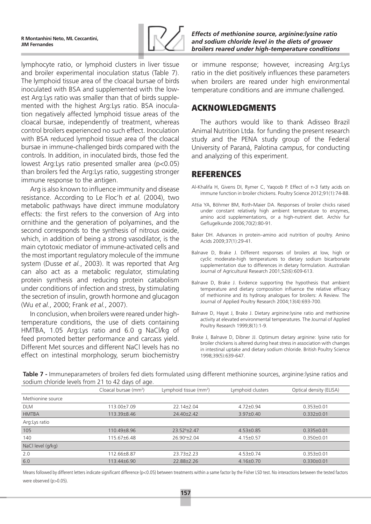

lymphocyte ratio, or lymphoid clusters in liver tissue and broiler experimental inoculation status (Table 7). The lymphoid tissue area of the cloacal bursae of birds inoculated with BSA and supplemented with the lowest Arg:Lys ratio was smaller than that of birds supplemented with the highest Arg:Lys ratio. BSA inoculation negatively affected lymphoid tissue areas of the cloacal bursae, independently of treatment, whereas control broilers experienced no such effect. Inoculation with BSA reduced lymphoid tissue area of the cloacal bursae in immune-challenged birds compared with the controls. In addition, in inoculated birds, those fed the lowest Arg:Lys ratio presented smaller area (p<0.05) than broilers fed the Arg:Lys ratio, suggesting stronger immune response to the antigen.

Arg is also known to influence immunity and disease resistance. According to Le Floc'h *et al.* (2004), two metabolic pathways have direct immune modulatory effects: the first refers to the conversion of Arg into ornithine and the generation of polyamines, and the second corresponds to the synthesis of nitrous oxide, which, in addition of being a strong vasodilator, is the main cytotoxic mediator of immune-activated cells and the most important regulatory molecule of the immune system (Dusse *et al.*, 2003). It was reported that Arg can also act as a metabolic regulator, stimulating protein synthesis and reducing protein catabolism under conditions of infection and stress, by stimulating the secretion of insulin, growth hormone and glucagon (Wu *et al.*, 2000; Frank *et al.*, 2007).

In conclusion, when broilers were reared under hightemperature conditions, the use of diets containing HMTBA, 1.05 Arg:Lys ratio and 6.0 g NaCl/kg of feed promoted better performance and carcass yield. Different Met sources and different NaCl levels has no effect on intestinal morphology, serum biochemistry *Effects of methionine source, arginine:lysine ratio and sodium chloride level in the diets of grower broilers reared under high-temperature conditions*

or immune response; however, increasing Arg:Lys ratio in the diet positively influences these parameters when broilers are reared under high environmental temperature conditions and are immune challenged.

## ACKNOWLEDGMENTS

The authors would like to thank Adisseo Brazil Animal Nutrition Ltda. for funding the present research study and the PENA study group of the Federal University of Paraná, Palotina *campus*, for conducting and analyzing of this experiment.

## REFERENCES

- Al-Khalifa H, Givens DI, Rymer C, Yaqoob P. Effect of n-3 fatty acids on immune function in broiler chickens. Poultry Science 2012;91(1):74-88.
- Attia YA, Böhmer BM, Roth-Maier DA. Responses of broiler chicks raised under constant relatively high ambient temperature to enzymes, amino acid supplementations, or a high-nutrient diet. Archiv fur Geflugelkunde 2006;70(2):80-91.
- Baker DH. Advances in protein–amino acid nutrition of poultry. Amino Acids 2009;37(1):29-41.
- Balnave D, Brake J. Different responses of broilers at low, high or cyclic moderate-high temperatures to dietary sodium bicarbonate supplementation due to differences in dietary formulation. Australian Journal of Agricultural Research 2001;52(6):609-613.
- Balnave D, Brake J. Evidence supporting the hypothesis that ambient temperature and dietary composition influence the relative efficacy of methionine and its hydroxy analogues for broilers: A Review. The Journal of Applied Poultry Research 2004;13(4):693-700.
- Balnave D, Hayat J, Brake J. Dietary arginine:lysine ratio and methionine activity at elevated environmental temperatures. The Journal of Applied Poultry Research 1999;8(1):1-9.
- Brake J, Balnave D, Dibner JJ. Optimum dietary arginine: lysine ratio for broiler chickens is altered during heat stress in association with changes in intestinal uptake and dietary sodium chloride. British Poultry Science 1998;39(5):639-647.

**Table 7 -** Immuneparameters of broilers fed diets formulated using different methionine sources, arginine:lysine ratios and sodium chloride levels from 21 to 42 days of age.

|                   | Cloacal bursae (mm <sup>2</sup> ) | Lymphoid tissue (mm <sup>2</sup> ) | Lymphoid clusters | Optical density (ELISA) |
|-------------------|-----------------------------------|------------------------------------|-------------------|-------------------------|
| Methionine source |                                   |                                    |                   |                         |
| <b>DLM</b>        | 113.00±7.09                       | $22.14 \pm 2.04$                   | 4.72±0.94         | $0.353\pm0.01$          |
| <b>HMTBA</b>      | 113.39±8.46                       | $24.40 + 2.42$                     | $3.97 \pm 0.40$   | $0.332 \pm 0.01$        |
| Arg: Lys ratio    |                                   |                                    |                   |                         |
| 105               | 110.49+8.96                       | $23.52b + 2.47$                    | $4.53 \pm 0.85$   | $0.335 \pm 0.01$        |
| 140               | 115.67±6.48                       | 26.90 <sup>a</sup> ±2.04           | $4.15 \pm 0.57$   | $0.350 \pm 0.01$        |
| NaCl level (g/kg) |                                   |                                    |                   |                         |
| 2.0               | 112.66±8.87                       | $23.73 + 2.23$                     | $4.53 \pm 0.74$   | $0.353\pm0.01$          |
| 6.0               | 113.44±6.90                       | 22.88±2.26                         | $4.16 \pm 0.70$   | $0.330 \pm 0.01$        |

Means followed by different letters indicate significant difference (p<0.05) between treatments within a same factor by the Fisher LSD test. No interactions between the tested factors were observed (p>0.05).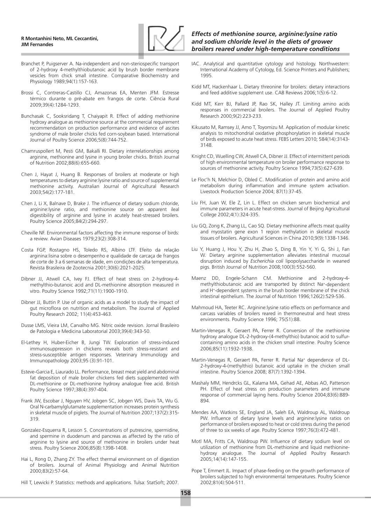

- Branchet P, Puigserver A. Na-independent and non-steriospecific transport of 2-hydroxy 4-methylthiobutanoic acid by brush border membrane vesicles from chick small intestine. Comparative Biochemistry and Physiology 1989;94(1):157-163.
- Brossi C, Contreras-Castillo CJ, Amazonas EA, Menten JFM. Estresse térmico durante o pré-abate em frangos de corte. Ciência Rural 2009;39(4):1284-1293.
- Bunchasak C, Sooksridang T, Chaiyapit R. Effect of adding methionine hydroxy analogue as methionine source at the commercial requirement recommendation on production performance and evidence of ascites syndrome of male broiler chicks fed corn-soybean based. International Journal of Poultry Science 2006;5(8):744-752.
- Chamruspollert M, Pesti GM, Bakalli RI. Dietary interrelationships among arginine, methionine and lysine in young broiler chicks. British Journal of Nutrition 2002;88(6):655-660.
- Chen J, Hayat J, Huang B. Responses of broilers at moderate or high temperatures to dietary arginine:lysine ratio and source of supplemental methionine activity. Australian Journal of Agricultural Research 2003;54(2):177-181.
- Chen J, Li X, Balnave D, Brake J. The influence of dietary sodium chloride, arginine:lysine ratio, and methionine source on apparent ileal digestibility of arginine and lysine in acutely heat-stressed broilers. Poultry Science 2005;84(2):294-297.
- Cheville NF. Environmental factors affecting the immune response of birds: a review. Avian Diseases 1979;23(2):308-314.
- Costa FGP, Rostagno HS, Toledo RS, Albino LTF. Efeito da relação arginina:lisina sobre o desempenho e qualidade de carcaça de frangos de corte de 3 a 6 semanas de idade, em condições de alta temperatura. Revista Brasileira de Zootecnia 2001;30(6):2021-2025.
- Dibner JJ, Atwell CA, Ivey FJ. Effect of heat stress on 2-hydroxy-4 methylthio-butanoic acid and DL-methionine absorption measured in vitro. Poultry Science 1992;71(11):1900-1910.
- Dibner JJ, Buttin P. Use of organic acids as a model to study the impact of gut microflora on nutrition and metabolism. The Journal of Applied Poultry Research 2002; 11(4):453-463.
- Dusse LMS, Vieira LM, Carvalho MG. Nitric oxide revision. Jornal Brasileiro de Patologia e Medicina Laboratorial 2003;39(4):343-50.
- El-Lethey H, Huber-Eicher B, Jungi TW. Exploration of stress-induced immunosuppression in chickens reveals both stress-resistant and stress-susceptible antigen responses. Veterinary Immunology and Immunopathology 2003;95 (3):91-101.
- Esteve-Garcia E, Liaurado LL. Performance, breast meat yield and abdominal fat deposition of male broiler chickens fed diets supplemented with DL‐methionine or DL‐methionine hydroxy analogue free acid. British Poultry Science 1997;38(4):397-404.
- Frank JW, Escobar J, Nguyen HV, Jobgen SC, Jobgen WS, Davis TA, Wu G. Oral N-carbamylglutamate supplementation increases protein synthesis in skeletal muscle of piglets. The Journal of Nutrition 2007;137(2):315- 319.
- Gonzalez-Esquerra R, Lesson S. Concentrations of putrescine, spermidine, and spermine in duodenum and pancreas as affected by the ratio of arginine to lysine and source of methionine in broilers under heat stress. Poultry Science 2006;85(8):1398-1408.
- Hai L, Rong D, Zhang ZY. The effect thermal environment on of digestion of broilers. Journal of Animal Physiology and Animal Nutrition 2000;83(2):57-64.
- Hill T, Lewicki P. Statistics: methods and applications. Tulsa: StatSoft; 2007.
- IAC. Analytical and quantitative cytology and histology. Northwestern: International Academy of Cytology, Ed. Science Printers and Publishers; 1995.
- Kidd MT, Hackenhaar L. Dietary threonine for broilers: dietary interactions and feed additive supplement use. CAB Reviews 2006;1(5):6-12.
- Kidd MT, Kerr BJ, Pallard JP, Rao SK, Halley JT. Limiting amino acids responses in commercial broilers. The Journal of Applied Poultry Research 2000;9(2):223-233.
- Kikusato M, Ramsey JJ, Amo T, Toyomizu M. Application of modular kinetic analysis to mitochondrial oxidative phosphorylation in skeletal muscle of birds exposed to acute heat stress. FEBS Letters 2010; 584(14):3143- 3148.
- Knight CD, Wuelling CW, Atwell CA, Dibner JJ. Effect of intermittent periods of high environmental temperature on broiler performance response to sources of methionine activity. Poultry Science 1994;73(5):627-639.
- Le Floc'h N, Melchior D, Obled C. Modification of protein and amino acid metabolism during inflammation and immune system activation. Livestock Production Science 2004; 87(1):37-45.
- Liu FH, Juan W, Ele Z, Lin L. Effect on chicken serum biochemical and immune parameters in acute heat-stress. Journal of Beijing Agricultural College 2002;4(1):324-335.
- Liu GQ, Zong K, Zhang LL, Cao SQ. Dietary methionine affects meat quality and myostatin gene exon 1 region methylation in skeletal muscle tissues of broilers. Agricultural Sciences in China 2010;9(9):1338-1346.
- Liu Y, Huang J, Hou Y, Zhu H, Zhao S, Ding B, Yin Y, Yi G, Shi J, Fan W. Dietary arginine supplementation alleviates intestinal mucosal disruption induced by *Escherichia coli* lipopolysaccharide in weaned pigs. British Journal of Nutrition 2008;100(3):552-560.
- Maenz DD, Engele-Schann CM. Methionine and 2-hydroxy-4 methylthiobutanoic acid are transported by distinct Na+-dependent and H+-dependent systems in the brush border membrane of the chick intestinal epithelium. The Journal of Nutrition 1996;126(2):529-536.
- Mahmoud HA, Teeter RC. Arginine:lysine ratio effects on performance and carcass variables of broilers reared in thermoneutral and heat stress environments. Poultry Science 1996; 75(S1):88.
- Martin-Venegas R, Geraert PA, Ferrer R. Conversion of the methionine hydroxy analogue DL-2-hydroxy-(4-methylthio) butanoic acid to sulfurcontaining amino acids in the chicken small intestine. Poultry Science 2006;85(11):1932-1938.
- Martin-Venegas R, Geraert PA, Ferrer R. Partial Na+ dependence of DL-2-hydroxy-4-(methylthio) butanoic acid uptake in the chicken small intestine. Poultry Science 2008; 87(7):1392-1394.
- Mashaly MM, Hendrcks GL, Kalama MA, Gehad AE, Abbas AO, Patterson PH. Effect of heat stress on production parameters and immune response of commercial laying hens. Poultry Science 2004;83(6):889- 894.
- Mendes AA, Watkins SE, England JA, Saleh EA, Waldroup AL, Waldroup PW. Influence of dietary lysine levels and arginine:lysine ratios on performance of broilers exposed to heat or cold stress during the period of three to six weeks of age. Poultry Science 1997;76(3):472-481.
- Motl MA, Fritts CA, Waldroup PW. Influence of dietary sodium level on utilization of methionine from DL-methionine and liquid methioninehydroxy analogue. The Journal of Applied Poultry Research 2005;14(14):147-155.
- Pope T, Emmert JL. Impact of phase-feeding on the growth performance of broilers subjected to high environmental temperatures. Poultry Science 2002;81(4):504-511.